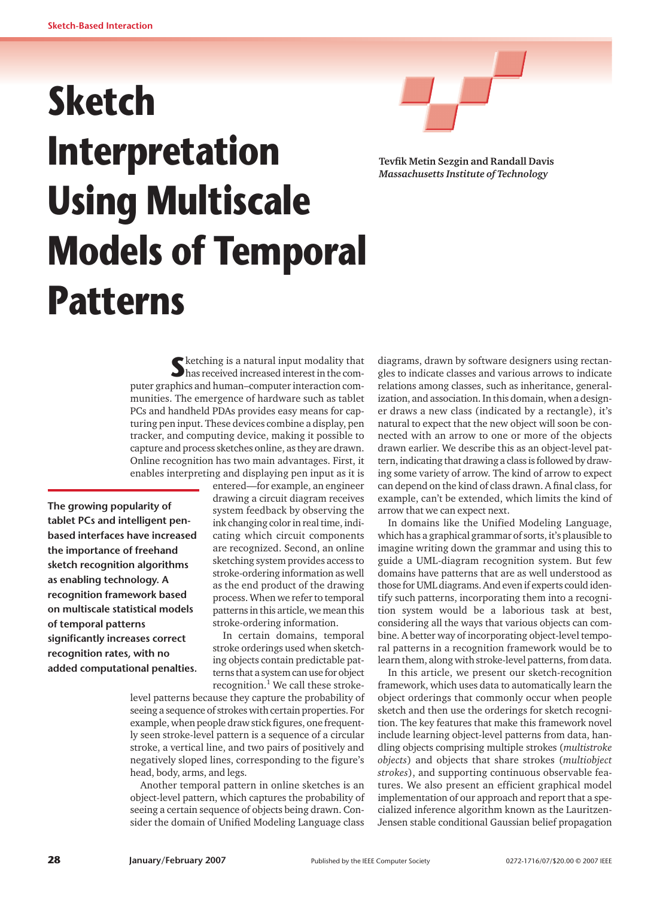## **Sketch Interpretation Using Multiscale Models of Temporal Patterns**



**Tevfik Metin Sezgin and Randall Davis**  *Massachusetts Institute of Technology*

**S**ketching is a natural input modality that has received increased interest in the computer graphics and human–computer interaction communities. The emergence of hardware such as tablet PCs and handheld PDAs provides easy means for capturing pen input. These devices combine a display, pen tracker, and computing device, making it possible to capture and process sketches online, as they are drawn. Online recognition has two main advantages. First, it enables interpreting and displaying pen input as it is

**The growing popularity of tablet PCs and intelligent penbased interfaces have increased the importance of freehand sketch recognition algorithms as enabling technology. A recognition framework based on multiscale statistical models of temporal patterns significantly increases correct recognition rates, with no added computational penalties.** entered—for example, an engineer drawing a circuit diagram receives system feedback by observing the ink changing color in real time, indicating which circuit components are recognized. Second, an online sketching system provides access to stroke-ordering information as well as the end product of the drawing process. When we refer to temporal patterns in this article, we mean this stroke-ordering information.

In certain domains, temporal stroke orderings used when sketching objects contain predictable patterns that a system can use for object recognition.<sup>1</sup> We call these stroke-

level patterns because they capture the probability of seeing a sequence of strokes with certain properties. For example, when people draw stick figures, one frequently seen stroke-level pattern is a sequence of a circular stroke, a vertical line, and two pairs of positively and negatively sloped lines, corresponding to the figure's head, body, arms, and legs.

Another temporal pattern in online sketches is an object-level pattern, which captures the probability of seeing a certain sequence of objects being drawn. Consider the domain of Unified Modeling Language class

diagrams, drawn by software designers using rectangles to indicate classes and various arrows to indicate relations among classes, such as inheritance, generalization, and association. In this domain, when a designer draws a new class (indicated by a rectangle), it's natural to expect that the new object will soon be connected with an arrow to one or more of the objects drawn earlier. We describe this as an object-level pattern, indicating that drawing a class is followed by drawing some variety of arrow. The kind of arrow to expect can depend on the kind of class drawn. A final class, for example, can't be extended, which limits the kind of arrow that we can expect next.

In domains like the Unified Modeling Language, which has a graphical grammar of sorts, it's plausible to imagine writing down the grammar and using this to guide a UML-diagram recognition system. But few domains have patterns that are as well understood as those for UML diagrams. And even if experts could identify such patterns, incorporating them into a recognition system would be a laborious task at best, considering all the ways that various objects can combine. A better way of incorporating object-level temporal patterns in a recognition framework would be to learn them, along with stroke-level patterns, from data.

In this article, we present our sketch-recognition framework, which uses data to automatically learn the object orderings that commonly occur when people sketch and then use the orderings for sketch recognition. The key features that make this framework novel include learning object-level patterns from data, handling objects comprising multiple strokes (*multistroke objects*) and objects that share strokes (*multiobject strokes*), and supporting continuous observable features. We also present an efficient graphical model implementation of our approach and report that a specialized inference algorithm known as the Lauritzen-Jensen stable conditional Gaussian belief propagation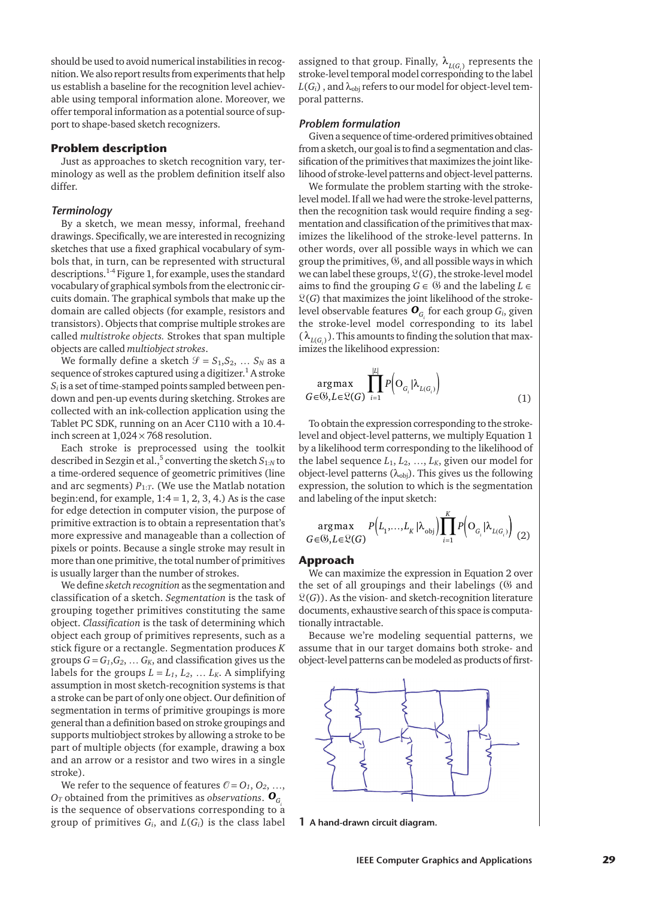should be used to avoid numerical instabilities in recognition. We also report results from experiments that help us establish a baseline for the recognition level achievable using temporal information alone. Moreover, we offer temporal information as a potential source of support to shape-based sketch recognizers.

#### **Problem description**

Just as approaches to sketch recognition vary, terminology as well as the problem definition itself also differ.

#### *Terminology*

By a sketch, we mean messy, informal, freehand drawings. Specifically, we are interested in recognizing sketches that use a fixed graphical vocabulary of symbols that, in turn, can be represented with structural descriptions.<sup>1-4</sup> Figure 1, for example, uses the standard vocabulary of graphical symbols from the electronic circuits domain. The graphical symbols that make up the domain are called objects (for example, resistors and transistors). Objects that comprise multiple strokes are called *multistroke objects.* Strokes that span multiple objects are called *multiobject strokes*.

We formally define a sketch  $\mathcal{G} = S_1, S_2, \dots S_N$  as a sequence of strokes captured using a digitizer.<sup>1</sup> A stroke  $S_i$  is a set of time-stamped points sampled between pendown and pen-up events during sketching. Strokes are collected with an ink-collection application using the Tablet PC SDK, running on an Acer C110 with a 10.4 inch screen at  $1,024 \times 768$  resolution.

Each stroke is preprocessed using the toolkit described in Sezgin et al.,<sup>5</sup> converting the sketch  $S_{1:N}$  to a time-ordered sequence of geometric primitives (line and arc segments) *P*1:*T*. (We use the Matlab notation begin: end, for example,  $1:4 = 1, 2, 3, 4$ . As is the case for edge detection in computer vision, the purpose of primitive extraction is to obtain a representation that's more expressive and manageable than a collection of pixels or points. Because a single stroke may result in more than one primitive, the total number of primitives is usually larger than the number of strokes.

We define *sketch recognition* as the segmentation and classification of a sketch. *Segmentation* is the task of grouping together primitives constituting the same object. *Classification* is the task of determining which object each group of primitives represents, such as a stick figure or a rectangle. Segmentation produces *K* groups  $G = G_1, G_2, \ldots, G_K$ , and classification gives us the labels for the groups  $L = L_1, L_2, \ldots L_K$ . A simplifying assumption in most sketch-recognition systems is that a stroke can be part of only one object. Our definition of segmentation in terms of primitive groupings is more general than a definition based on stroke groupings and supports multiobject strokes by allowing a stroke to be part of multiple objects (for example, drawing a box and an arrow or a resistor and two wires in a single stroke).

We refer to the sequence of features  $\mathcal{O} = O_1, O_2, ...,$  $O_T$  obtained from the primitives as *observations*.  $\mathbf{O}_{G_i}$ is the sequence of observations corresponding to a group of primitives *Gi*, and *L*(*Gi*) is the class label

assigned to that group. Finally,  $\lambda_{L(G_i)}$  represents the stroke-level temporal model corresponding to the label  $L(G_i)$ , and  $\lambda_{obj}$  refers to our model for object-level temporal patterns.

#### *Problem formulation*

Given a sequence of time-ordered primitives obtained from a sketch, our goal is to find a segmentation and classification of the primitives that maximizes the joint likelihood of stroke-level patterns and object-level patterns.

We formulate the problem starting with the strokelevel model. If all we had were the stroke-level patterns, then the recognition task would require finding a segmentation and classification of the primitives that maximizes the likelihood of the stroke-level patterns. In other words, over all possible ways in which we can group the primitives,  $\mathfrak{G}$ , and all possible ways in which we can label these groups,  $\mathfrak{L}(G)$ , the stroke-level model aims to find the grouping  $G \in \mathcal{G}$  and the labeling  $L \in$  $\mathfrak{L}(G)$  that maximizes the joint likelihood of the strokelevel observable features  $\mathbf{O}_{G_i}$  for each group  $G_i$ , given the stroke-level model corresponding to its label  $(\lambda_{L(G_i)})$ . This amounts to finding the solution that maximizes the likelihood expression:

$$
\underset{G \in \mathfrak{S}, L \in \mathfrak{L}(G)}{\operatorname{argmax}} \prod_{i=1}^{|L|} P\Big(\mathrm{O}_{G_i}|\lambda_{L(G_i)}\Big) \tag{1}
$$

To obtain the expression corresponding to the strokelevel and object-level patterns, we multiply Equation 1 by a likelihood term corresponding to the likelihood of the label sequence  $L_1, L_2, ..., L_K$ , given our model for object-level patterns ( $\lambda_{\text{obj}}$ ). This gives us the following expression, the solution to which is the segmentation and labeling of the input sketch:

$$
\underset{G\in\mathfrak{S},L\in\mathfrak{L}(G)}{\arg\max} P(L_1,\ldots,L_K|\lambda_{\mathrm{obj}})\prod_{i=1}^K P\Big(\mathrm{O}_{G_i}|\lambda_{L(G_i)}\Big)_{(2)}
$$

#### **Approach**

We can maximize the expression in Equation 2 over the set of all groupings and their labelings  $(68 \text{ and } 64)$  $\mathfrak{L}(G)$ ). As the vision- and sketch-recognition literature documents, exhaustive search of this space is computationally intractable.

Because we're modeling sequential patterns, we assume that in our target domains both stroke- and object-level patterns can be modeled as products of first-



**1 A hand-drawn circuit diagram.**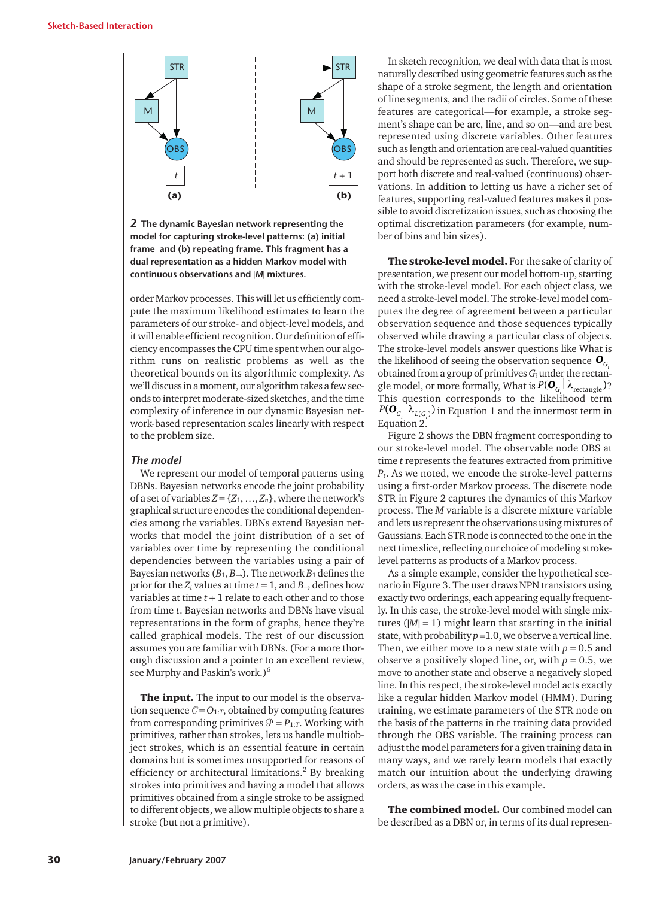

**2 The dynamic Bayesian network representing the model for capturing stroke-level patterns: (a) initial frame and (b) repeating frame. This fragment has a dual representation as a hidden Markov model with** continuous observations and  $|M|$  mixtures.

order Markov processes. This will let us efficiently compute the maximum likelihood estimates to learn the parameters of our stroke- and object-level models, and it will enable efficient recognition. Our definition of efficiency encompasses the CPU time spent when our algorithm runs on realistic problems as well as the theoretical bounds on its algorithmic complexity. As we'll discuss in a moment, our algorithm takes a few seconds to interpret moderate-sized sketches, and the time complexity of inference in our dynamic Bayesian network-based representation scales linearly with respect to the problem size.

#### *The model*

We represent our model of temporal patterns using DBNs. Bayesian networks encode the joint probability of a set of variables  $Z = \{Z_1, ..., Z_n\}$ , where the network's graphical structure encodes the conditional dependencies among the variables. DBNs extend Bayesian networks that model the joint distribution of a set of variables over time by representing the conditional dependencies between the variables using a pair of Bayesian networks  $(B_1, B_+)$ . The network  $B_1$  defines the prior for the  $Z_i$  values at time  $t = 1$ , and  $B_{\rightarrow}$  defines how variables at time  $t + 1$  relate to each other and to those from time *t*. Bayesian networks and DBNs have visual representations in the form of graphs, hence they're called graphical models. The rest of our discussion assumes you are familiar with DBNs. (For a more thorough discussion and a pointer to an excellent review, see Murphy and Paskin's work.)<sup>6</sup>

The input. The input to our model is the observation sequence  $\mathcal{O} = O_{1:T}$ , obtained by computing features from corresponding primitives  $\mathcal{P} = P_{1:T}$ . Working with primitives, rather than strokes, lets us handle multiobject strokes, which is an essential feature in certain domains but is sometimes unsupported for reasons of efficiency or architectural limitations.<sup>2</sup> By breaking strokes into primitives and having a model that allows primitives obtained from a single stroke to be assigned to different objects, we allow multiple objects to share a stroke (but not a primitive).

In sketch recognition, we deal with data that is most naturally described using geometric features such as the shape of a stroke segment, the length and orientation of line segments, and the radii of circles. Some of these features are categorical—for example, a stroke segment's shape can be arc, line, and so on—and are best represented using discrete variables. Other features such as length and orientation are real-valued quantities and should be represented as such. Therefore, we support both discrete and real-valued (continuous) observations. In addition to letting us have a richer set of features, supporting real-valued features makes it possible to avoid discretization issues, such as choosing the optimal discretization parameters (for example, number of bins and bin sizes).

The stroke-level model. For the sake of clarity of presentation, we present our model bottom-up, starting with the stroke-level model. For each object class, we need a stroke-level model. The stroke-level model computes the degree of agreement between a particular observation sequence and those sequences typically observed while drawing a particular class of objects. The stroke-level models answer questions like What is the likelihood of seeing the observation sequence  $\mathbf{0}_{G_i}$ obtained from a group of primitives *Gi* under the rectangle model, or more formally, What is  $P(\mathbf{O}_{G_i} | \lambda_{\text{rectangle}})$ ? This question corresponds to the likelihood term  $P(\mathbf{O}_{G_i} | \lambda_{L(G_i)})$  in Equation 1 and the innermost term in Equation 2.

Figure 2 shows the DBN fragment corresponding to our stroke-level model. The observable node OBS at time *t* represents the features extracted from primitive *Pt*. As we noted, we encode the stroke-level patterns using a first-order Markov process. The discrete node STR in Figure 2 captures the dynamics of this Markov process. The *M* variable is a discrete mixture variable and lets us represent the observations using mixtures of Gaussians. Each STR node is connected to the one in the next time slice, reflecting our choice of modeling strokelevel patterns as products of a Markov process.

As a simple example, consider the hypothetical scenario in Figure 3. The user draws NPN transistors using exactly two orderings, each appearing equally frequently. In this case, the stroke-level model with single mixtures  $(|M| = 1)$  might learn that starting in the initial state, with probability  $p = 1.0$ , we observe a vertical line. Then, we either move to a new state with  $p = 0.5$  and observe a positively sloped line, or, with  $p = 0.5$ , we move to another state and observe a negatively sloped line. In this respect, the stroke-level model acts exactly like a regular hidden Markov model (HMM). During training, we estimate parameters of the STR node on the basis of the patterns in the training data provided through the OBS variable. The training process can adjust the model parameters for a given training data in many ways, and we rarely learn models that exactly match our intuition about the underlying drawing orders, as was the case in this example.

The combined model. Our combined model can be described as a DBN or, in terms of its dual represen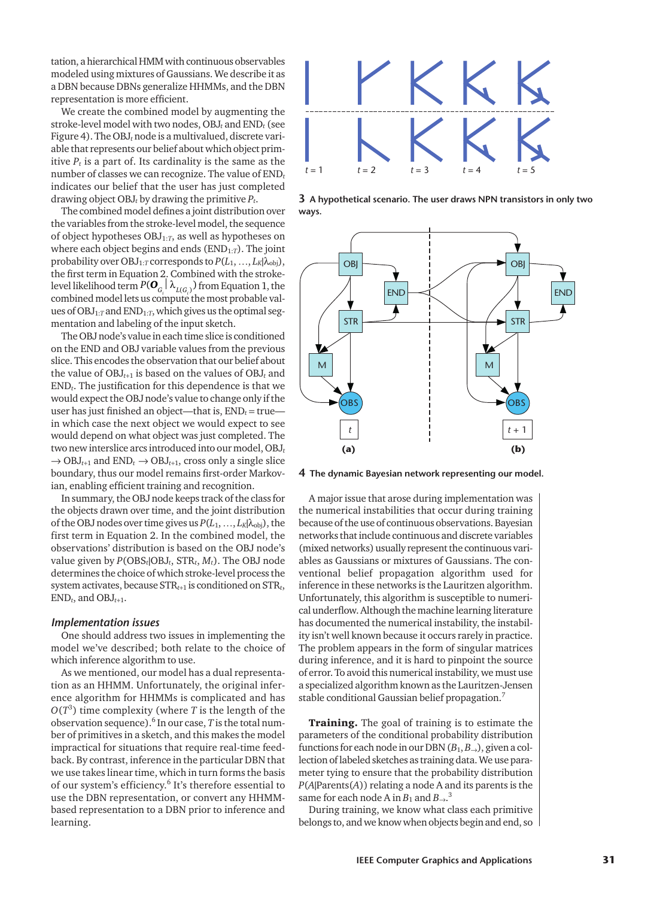tation, a hierarchical HMM with continuous observables modeled using mixtures of Gaussians. We describe it as a DBN because DBNs generalize HHMMs, and the DBN representation is more efficient.

We create the combined model by augmenting the stroke-level model with two nodes, OBJ*<sup>t</sup>* and END*<sup>t</sup>* (see Figure 4). The OBJ*<sup>t</sup>* node is a multivalued, discrete variable that represents our belief about which object primitive  $P_t$  is a part of. Its cardinality is the same as the number of classes we can recognize. The value of END*<sup>t</sup>* indicates our belief that the user has just completed drawing object OBJ*<sup>t</sup>* by drawing the primitive *Pt*.

The combined model defines a joint distribution over the variables from the stroke-level model, the sequence of object hypotheses OBJ1:*T*, as well as hypotheses on where each object begins and ends (END<sub>1:T</sub>). The joint probability over  $OBJ_{1:T}$  corresponds to  $P(L_1, ..., L_K|\lambda_{obj})$ , the first term in Equation 2. Combined with the strokelevel likelihood term  $P(\mathbf{O}_{G_i} | \lambda_{L(G_i)})$  from Equation 1, the combined model lets us compute the most probable values of OBJ1:*<sup>T</sup>* and END1:*T*, which gives us the optimal segmentation and labeling of the input sketch.

The OBJ node's value in each time slice is conditioned on the END and OBJ variable values from the previous slice. This encodes the observation that our belief about the value of  $OBJ_{t+1}$  is based on the values of  $OBJ_t$  and END*t*. The justification for this dependence is that we would expect the OBJ node's value to change only if the  $user has just finished an object—that is, END<sub>t</sub> = true$ in which case the next object we would expect to see would depend on what object was just completed. The two new interslice arcs introduced into our model, OBJ*<sup>t</sup>*  $\rightarrow$  OBJ<sub>t+1</sub> and END<sub>t</sub>  $\rightarrow$  OBJ<sub>t+1</sub>, cross only a single slice boundary, thus our model remains first-order Markovian, enabling efficient training and recognition.

In summary, the OBJ node keeps track of the class for the objects drawn over time, and the joint distribution of the OBJ nodes over time gives us  $P(L_1, ..., L_K|\lambda_{\text{obj}})$ , the first term in Equation 2. In the combined model, the observations' distribution is based on the OBJ node's value given by  $P(\text{OBS}_t | \text{OBJ}_t, \text{STR}_t, M_t)$ . The OBJ node determines the choice of which stroke-level process the system activates, because  $STR_{t+1}$  is conditioned on  $STR_t$ ,  $END<sub>t</sub>$ , and  $OBJ<sub>t+1</sub>$ .

#### *Implementation issues*

One should address two issues in implementing the model we've described; both relate to the choice of which inference algorithm to use.

As we mentioned, our model has a dual representation as an HHMM. Unfortunately, the original inference algorithm for HHMMs is complicated and has  $O(T^3)$  time complexity (where *T* is the length of the observation sequence).6 In our case, *T* is the total number of primitives in a sketch, and this makes the model impractical for situations that require real-time feedback. By contrast, inference in the particular DBN that we use takes linear time, which in turn forms the basis of our system's efficiency.<sup>6</sup> It's therefore essential to use the DBN representation, or convert any HHMMbased representation to a DBN prior to inference and learning.



**3 A hypothetical scenario. The user draws NPN transistors in only two ways.**



**4 The dynamic Bayesian network representing our model.**

A major issue that arose during implementation was the numerical instabilities that occur during training because of the use of continuous observations. Bayesian networks that include continuous and discrete variables (mixed networks) usually represent the continuous variables as Gaussians or mixtures of Gaussians. The conventional belief propagation algorithm used for inference in these networks is the Lauritzen algorithm. Unfortunately, this algorithm is susceptible to numerical underflow. Although the machine learning literature has documented the numerical instability, the instability isn't well known because it occurs rarely in practice. The problem appears in the form of singular matrices during inference, and it is hard to pinpoint the source of error. To avoid this numerical instability, we must use a specialized algorithm known as the Lauritzen-Jensen stable conditional Gaussian belief propagation.7

**Training.** The goal of training is to estimate the parameters of the conditional probability distribution functions for each node in our DBN  $(B_1, B_+)$ , given a collection of labeled sketches as training data. We use parameter tying to ensure that the probability distribution *P*(*A* Parents(*A*)) relating a node A and its parents is the same for each node A in  $B_1$  and  $B_{\rightarrow}$ .<sup>3</sup>

During training, we know what class each primitive belongs to, and we know when objects begin and end, so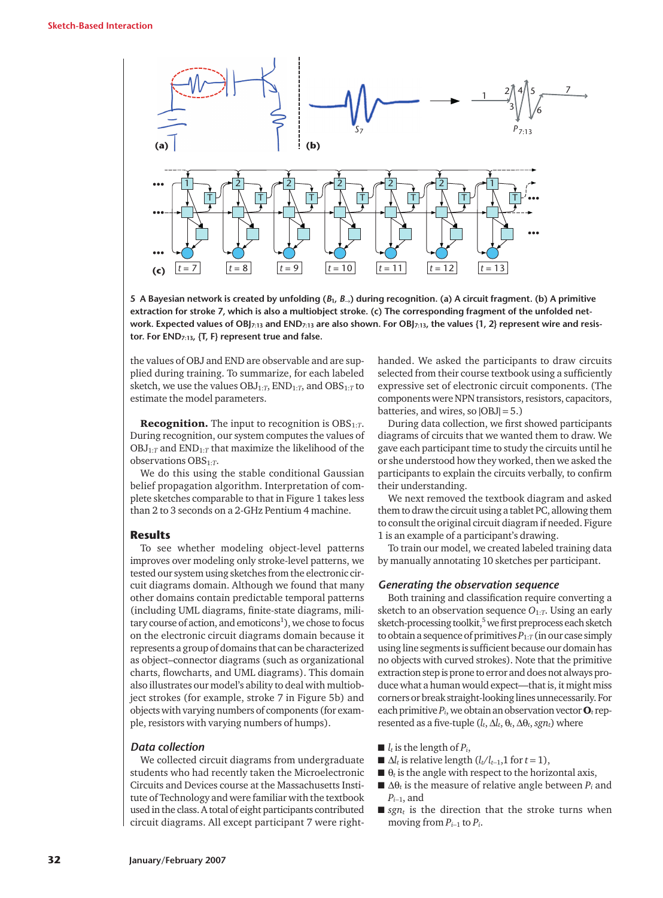

**5 A Bayesian network is created by unfolding (***B***1,** *B***) during recognition. (a) A circuit fragment. (b) A primitive extraction for stroke 7, which is also a multiobject stroke. (c) The corresponding fragment of the unfolded net**work. Expected values of OBJ<sub>7:13</sub> and END<sub>7:13</sub> are also shown. For OBJ<sub>7:13</sub>, the values {1, 2} represent wire and resis**tor. For END7:13, {T, F} represent true and false.**

the values of OBJ and END are observable and are supplied during training. To summarize, for each labeled sketch, we use the values OBJ<sub>1:T</sub>, END<sub>1:T</sub>, and OBS<sub>1:T</sub> to estimate the model parameters.

Recognition. The input to recognition is OBS1:*T*. During recognition, our system computes the values of OBJ1:*<sup>T</sup>* and END1:*<sup>T</sup>* that maximize the likelihood of the observations OBS1:*T*.

We do this using the stable conditional Gaussian belief propagation algorithm. Interpretation of complete sketches comparable to that in Figure 1 takes less than 2 to 3 seconds on a 2-GHz Pentium 4 machine.

#### **Results**

To see whether modeling object-level patterns improves over modeling only stroke-level patterns, we tested our system using sketches from the electronic circuit diagrams domain. Although we found that many other domains contain predictable temporal patterns (including UML diagrams, finite-state diagrams, military course of action, and emoticons<sup>1</sup>), we chose to focus on the electronic circuit diagrams domain because it represents a group of domains that can be characterized as object–connector diagrams (such as organizational charts, flowcharts, and UML diagrams). This domain also illustrates our model's ability to deal with multiobject strokes (for example, stroke 7 in Figure 5b) and objects with varying numbers of components (for example, resistors with varying numbers of humps).

#### *Data collection*

We collected circuit diagrams from undergraduate students who had recently taken the Microelectronic Circuits and Devices course at the Massachusetts Institute of Technology and were familiar with the textbook used in the class. A total of eight participants contributed circuit diagrams. All except participant 7 were righthanded. We asked the participants to draw circuits selected from their course textbook using a sufficiently expressive set of electronic circuit components. (The components were NPN transistors, resistors, capacitors, batteries, and wires, so  $|OBJ| = 5$ .)

During data collection, we first showed participants diagrams of circuits that we wanted them to draw. We gave each participant time to study the circuits until he or she understood how they worked, then we asked the participants to explain the circuits verbally, to confirm their understanding.

We next removed the textbook diagram and asked them to draw the circuit using a tablet PC, allowing them to consult the original circuit diagram if needed. Figure 1 is an example of a participant's drawing.

To train our model, we created labeled training data by manually annotating 10 sketches per participant.

#### *Generating the observation sequence*

Both training and classification require converting a sketch to an observation sequence *O*1:*T*. Using an early sketch-processing toolkit,<sup>5</sup> we first preprocess each sketch to obtain a sequence of primitives *P*1:*<sup>T</sup>* (in our case simply using line segments is sufficient because our domain has no objects with curved strokes). Note that the primitive extraction step is prone to error and does not always produce what a human would expect—that is, it might miss corners or break straight-looking lines unnecessarily. For each primitive  $P_i$ , we obtain an observation vector  $O_t$  represented as a five-tuple  $(l_t, \Delta l_t, \theta_t, \Delta \theta_t, sgn_t)$  where

- $\blacksquare$  *l*<sub>t</sub> is the length of  $P_i$ ,
- $\blacksquare$   $\Delta l_t$  is relative length  $(l_t/l_{t-1}, 1$  for  $t = 1)$ ,
- $\blacksquare$   $\theta_t$  is the angle with respect to the horizontal axis,
- $\blacksquare$   $\Delta\theta_t$  is the measure of relative angle between  $P_i$  and  $P_{i-1}$ , and
- $\blacksquare$  *sgn<sub>t</sub>* is the direction that the stroke turns when moving from  $P_{i-1}$  to  $P_i$ .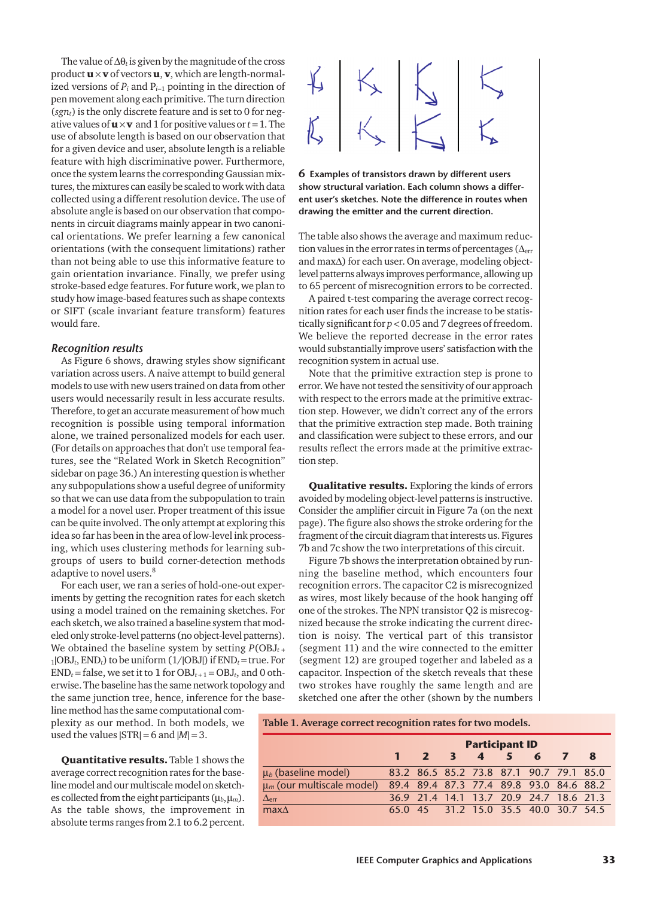The value of  $\Delta\theta_t$  is given by the magnitude of the cross product  $\mathbf{u} \times \mathbf{v}$  of vectors  $\mathbf{u}, \mathbf{v}$ , which are length-normalized versions of  $P_i$  and  $P_{i-1}$  pointing in the direction of pen movement along each primitive. The turn direction (*sgnt*) is the only discrete feature and is set to 0 for negative values of  $\mathbf{u} \times \mathbf{v}$  and 1 for positive values or  $t = 1$ . The use of absolute length is based on our observation that for a given device and user, absolute length is a reliable feature with high discriminative power. Furthermore, once the system learns the corresponding Gaussian mixtures, the mixtures can easily be scaled to work with data collected using a different resolution device. The use of absolute angle is based on our observation that components in circuit diagrams mainly appear in two canonical orientations. We prefer learning a few canonical orientations (with the consequent limitations) rather than not being able to use this informative feature to gain orientation invariance. Finally, we prefer using stroke-based edge features. For future work, we plan to study how image-based features such as shape contexts or SIFT (scale invariant feature transform) features would fare.

#### *Recognition results*

As Figure 6 shows, drawing styles show significant variation across users. A naive attempt to build general models to use with new users trained on data from other users would necessarily result in less accurate results. Therefore, to get an accurate measurement of how much recognition is possible using temporal information alone, we trained personalized models for each user. (For details on approaches that don't use temporal features, see the "Related Work in Sketch Recognition" sidebar on page 36.) An interesting question is whether any subpopulations show a useful degree of uniformity so that we can use data from the subpopulation to train a model for a novel user. Proper treatment of this issue can be quite involved. The only attempt at exploring this idea so far has been in the area of low-level ink processing, which uses clustering methods for learning subgroups of users to build corner-detection methods adaptive to novel users.<sup>8</sup>

For each user, we ran a series of hold-one-out experiments by getting the recognition rates for each sketch using a model trained on the remaining sketches. For each sketch, we also trained a baseline system that modeled only stroke-level patterns (no object-level patterns). We obtained the baseline system by setting *P*(OBJ*<sup>t</sup>*  $_{1}$ [OBJ<sub>t</sub>, END<sub>t</sub>) to be uniform  $(1/$ [OBJ]) if END<sub>t</sub> = true. For  $END<sub>t</sub> = false$ , we set it to 1 for  $OBJ<sub>t+1</sub> = OBJ<sub>t</sub>$ , and 0 otherwise. The baseline has the same network topology and the same junction tree, hence, inference for the base-

line method has the same computational complexity as our method. In both models, we used the values  $|STR| = 6$  and  $|M| = 3$ .

Quantitative results. Table 1 shows the average correct recognition rates for the baseline model and our multiscale model on sketches collected from the eight participants  $(\mu_b, \mu_m)$ . As the table shows, the improvement in absolute terms ranges from 2.1 to 6.2 percent.



**6 Examples of transistors drawn by different users show structural variation. Each column shows a different user's sketches. Note the difference in routes when drawing the emitter and the current direction.**

The table also shows the average and maximum reduction values in the error rates in terms of percentages ( $\Delta_{\text{err}}$ and max ) for each user. On average, modeling objectlevel patterns always improves performance, allowing up to 65 percent of misrecognition errors to be corrected.

A paired t-test comparing the average correct recognition rates for each user finds the increase to be statistically significant for  $p < 0.05$  and 7 degrees of freedom. We believe the reported decrease in the error rates would substantially improve users' satisfaction with the recognition system in actual use.

Note that the primitive extraction step is prone to error. We have not tested the sensitivity of our approach with respect to the errors made at the primitive extraction step. However, we didn't correct any of the errors that the primitive extraction step made. Both training and classification were subject to these errors, and our results reflect the errors made at the primitive extraction step.

Qualitative results. Exploring the kinds of errors avoided by modeling object-level patterns is instructive. Consider the amplifier circuit in Figure 7a (on the next page). The figure also shows the stroke ordering for the fragment of the circuit diagram that interests us. Figures 7b and 7c show the two interpretations of this circuit.

Figure 7b shows the interpretation obtained by running the baseline method, which encounters four recognition errors. The capacitor C2 is misrecognized as wires, most likely because of the hook hanging off one of the strokes. The NPN transistor Q2 is misrecognized because the stroke indicating the current direction is noisy. The vertical part of this transistor (segment 11) and the wire connected to the emitter (segment 12) are grouped together and labeled as a capacitor. Inspection of the sketch reveals that these two strokes have roughly the same length and are sketched one after the other (shown by the numbers

**Table 1. Average correct recognition rates for two models.**

|                                                |              | <b>Participant ID</b> |                     |                                         |         |  |  |  |
|------------------------------------------------|--------------|-----------------------|---------------------|-----------------------------------------|---------|--|--|--|
|                                                | $\mathbf{1}$ |                       | $2 \quad 3 \quad 4$ |                                         | 5 6 7 8 |  |  |  |
| $\mu_b$ (baseline model)                       |              |                       |                     | 83.2 86.5 85.2 73.8 87.1 90.7 79.1 85.0 |         |  |  |  |
| $\mu_m$ (our multiscale model)                 |              |                       |                     | 89.4 89.4 87.3 77.4 89.8 93.0 84.6 88.2 |         |  |  |  |
| $\frac{\Delta_{\text{err}}}{\text{max}\Delta}$ |              |                       |                     | 36.9 21.4 14.1 13.7 20.9 24.7 18.6 21.3 |         |  |  |  |
|                                                |              |                       |                     | 65.0 45 31.2 15.0 35.5 40.0 30.7 54.5   |         |  |  |  |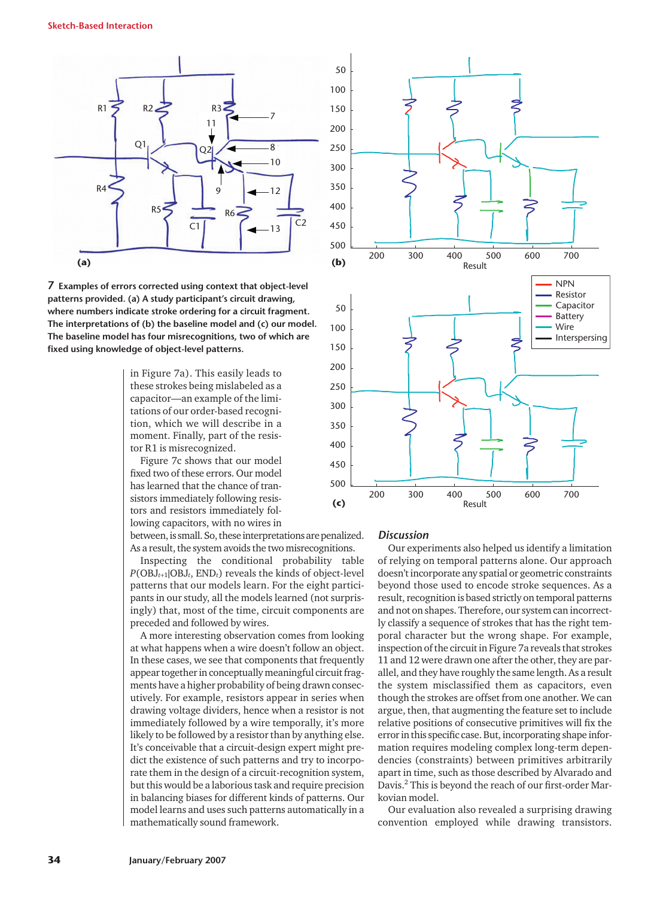

**7 Examples of errors corrected using context that object-level patterns provided. (a) A study participant's circuit drawing, where numbers indicate stroke ordering for a circuit fragment. The interpretations of (b) the baseline model and (c) our model. The baseline model has four misrecognitions, two of which are fixed using knowledge of object-level patterns.**

> in Figure 7a). This easily leads to these strokes being mislabeled as a capacitor—an example of the limitations of our order-based recognition, which we will describe in a moment. Finally, part of the resistor R1 is misrecognized.

Figure 7c shows that our model fixed two of these errors. Our model has learned that the chance of transistors immediately following resistors and resistors immediately following capacitors, with no wires in

between, is small. So, these interpretations are penalized. As a result, the system avoids the two misrecognitions.

Inspecting the conditional probability table  $P(OBJ_{t+1}|OBJ_t, END_t)$  reveals the kinds of object-level patterns that our models learn. For the eight participants in our study, all the models learned (not surprisingly) that, most of the time, circuit components are preceded and followed by wires.

A more interesting observation comes from looking at what happens when a wire doesn't follow an object. In these cases, we see that components that frequently appear together in conceptually meaningful circuit fragments have a higher probability of being drawn consecutively. For example, resistors appear in series when drawing voltage dividers, hence when a resistor is not immediately followed by a wire temporally, it's more likely to be followed by a resistor than by anything else. It's conceivable that a circuit-design expert might predict the existence of such patterns and try to incorporate them in the design of a circuit-recognition system, but this would be a laborious task and require precision in balancing biases for different kinds of patterns. Our model learns and uses such patterns automatically in a mathematically sound framework.



#### *Discussion*

Our experiments also helped us identify a limitation of relying on temporal patterns alone. Our approach doesn't incorporate any spatial or geometric constraints beyond those used to encode stroke sequences. As a result, recognition is based strictly on temporal patterns and not on shapes. Therefore, our system can incorrectly classify a sequence of strokes that has the right temporal character but the wrong shape. For example, inspection of the circuit in Figure 7a reveals that strokes 11 and 12 were drawn one after the other, they are parallel, and they have roughly the same length. As a result the system misclassified them as capacitors, even though the strokes are offset from one another. We can argue, then, that augmenting the feature set to include relative positions of consecutive primitives will fix the error in this specific case. But, incorporating shape information requires modeling complex long-term dependencies (constraints) between primitives arbitrarily apart in time, such as those described by Alvarado and Davis.2 This is beyond the reach of our first-order Markovian model.

Our evaluation also revealed a surprising drawing convention employed while drawing transistors.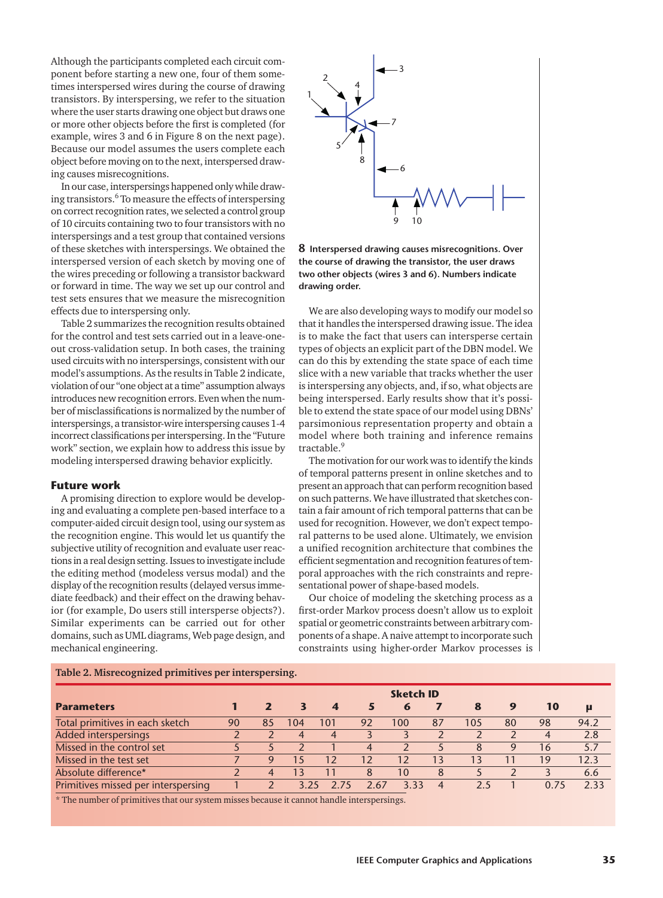Although the participants completed each circuit component before starting a new one, four of them sometimes interspersed wires during the course of drawing transistors. By interspersing, we refer to the situation where the user starts drawing one object but draws one or more other objects before the first is completed (for example, wires 3 and 6 in Figure 8 on the next page). Because our model assumes the users complete each object before moving on to the next, interspersed drawing causes misrecognitions.

In our case, interspersings happened only while drawing transistors.<sup>6</sup> To measure the effects of interspersing on correct recognition rates, we selected a control group of 10 circuits containing two to four transistors with no interspersings and a test group that contained versions of these sketches with interspersings. We obtained the interspersed version of each sketch by moving one of the wires preceding or following a transistor backward or forward in time. The way we set up our control and test sets ensures that we measure the misrecognition effects due to interspersing only.

Table 2 summarizes the recognition results obtained for the control and test sets carried out in a leave-oneout cross-validation setup. In both cases, the training used circuits with no interspersings, consistent with our model's assumptions. As the results in Table 2 indicate, violation of our "one object at a time" assumption always introduces new recognition errors. Even when the number of misclassifications is normalized by the number of interspersings, a transistor-wire interspersing causes 1-4 incorrect classifications per interspersing. In the "Future work" section, we explain how to address this issue by modeling interspersed drawing behavior explicitly.

#### **Future work**

A promising direction to explore would be developing and evaluating a complete pen-based interface to a computer-aided circuit design tool, using our system as the recognition engine. This would let us quantify the subjective utility of recognition and evaluate user reactions in a real design setting. Issues to investigate include the editing method (modeless versus modal) and the display of the recognition results (delayed versus immediate feedback) and their effect on the drawing behavior (for example, Do users still intersperse objects?). Similar experiments can be carried out for other domains, such as UML diagrams, Web page design, and mechanical engineering.

**Table 2. Misrecognized primitives per interspersing.**



**8 Interspersed drawing causes misrecognitions. Over the course of drawing the transistor, the user draws two other objects (wires 3 and 6). Numbers indicate drawing order.**

We are also developing ways to modify our model so that it handles the interspersed drawing issue. The idea is to make the fact that users can intersperse certain types of objects an explicit part of the DBN model. We can do this by extending the state space of each time slice with a new variable that tracks whether the user is interspersing any objects, and, if so, what objects are being interspersed. Early results show that it's possible to extend the state space of our model using DBNs' parsimonious representation property and obtain a model where both training and inference remains tractable.<sup>9</sup>

The motivation for our work was to identify the kinds of temporal patterns present in online sketches and to present an approach that can perform recognition based on such patterns. We have illustrated that sketches contain a fair amount of rich temporal patterns that can be used for recognition. However, we don't expect temporal patterns to be used alone. Ultimately, we envision a unified recognition architecture that combines the efficient segmentation and recognition features of temporal approaches with the rich constraints and representational power of shape-based models.

Our choice of modeling the sketching process as a first-order Markov process doesn't allow us to exploit spatial or geometric constraints between arbitrary components of a shape. A naive attempt to incorporate such constraints using higher-order Markov processes is

| Table 2. MISTCCO SILLECT PETITIONES PCT INCESPONDING. |                  |    |     |                  |      |      |                |     |               |      |      |
|-------------------------------------------------------|------------------|----|-----|------------------|------|------|----------------|-----|---------------|------|------|
|                                                       | <b>Sketch ID</b> |    |     |                  |      |      |                |     |               |      |      |
| <b>Parameters</b>                                     |                  |    | 3   | $\boldsymbol{A}$ | 5    | 6    |                | 8   | 9             | 10   | μ    |
| Total primitives in each sketch                       | 90               | 85 | 104 | 101              | 92   | 100  | 87             | 105 | 80            | 98   | 94.2 |
| Added interspersings                                  |                  |    | 4   | 4                | 3    |      |                |     |               | 4    | 2.8  |
| Missed in the control set                             |                  |    |     |                  | 4    |      |                | 8   | g             | 16   | 5.7  |
| Missed in the test set                                |                  | Q  | 15  | 12               | 12   | 12   | 13             | 13  |               | 19   | 12.3 |
| Absolute difference*                                  |                  |    | 13  |                  | 8    | 10   | 8              |     | $\mathcal{P}$ | 3    | 6.6  |
| Primitives missed per interspersing                   |                  |    |     | 2.75             | 2.67 | 3.33 | $\overline{4}$ | 25  |               | 0.75 | 2.33 |

\* The number of primitives that our system misses because it cannot handle interspersings.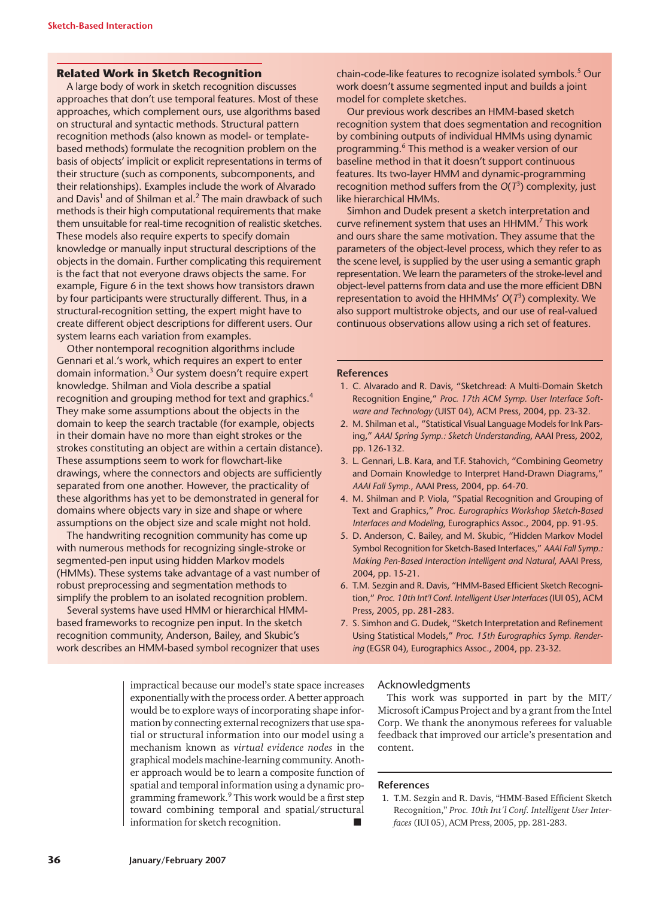#### **Related Work in Sketch Recognition**

A large body of work in sketch recognition discusses approaches that don't use temporal features. Most of these approaches, which complement ours, use algorithms based on structural and syntactic methods. Structural pattern recognition methods (also known as model- or templatebased methods) formulate the recognition problem on the basis of objects' implicit or explicit representations in terms of their structure (such as components, subcomponents, and their relationships). Examples include the work of Alvarado and Davis<sup>1</sup> and of Shilman et al.<sup>2</sup> The main drawback of such methods is their high computational requirements that make them unsuitable for real-time recognition of realistic sketches. These models also require experts to specify domain knowledge or manually input structural descriptions of the objects in the domain. Further complicating this requirement is the fact that not everyone draws objects the same. For example, Figure 6 in the text shows how transistors drawn by four participants were structurally different. Thus, in a structural-recognition setting, the expert might have to create different object descriptions for different users. Our system learns each variation from examples.

Other nontemporal recognition algorithms include Gennari et al.'s work, which requires an expert to enter domain information.<sup>3</sup> Our system doesn't require expert knowledge. Shilman and Viola describe a spatial recognition and grouping method for text and graphics.<sup>4</sup> They make some assumptions about the objects in the domain to keep the search tractable (for example, objects in their domain have no more than eight strokes or the strokes constituting an object are within a certain distance). These assumptions seem to work for flowchart-like drawings, where the connectors and objects are sufficiently separated from one another. However, the practicality of these algorithms has yet to be demonstrated in general for domains where objects vary in size and shape or where assumptions on the object size and scale might not hold.

The handwriting recognition community has come up with numerous methods for recognizing single-stroke or segmented-pen input using hidden Markov models (HMMs). These systems take advantage of a vast number of robust preprocessing and segmentation methods to simplify the problem to an isolated recognition problem.

Several systems have used HMM or hierarchical HMMbased frameworks to recognize pen input. In the sketch recognition community, Anderson, Bailey, and Skubic's work describes an HMM-based symbol recognizer that uses

> impractical because our model's state space increases exponentially with the process order. A better approach would be to explore ways of incorporating shape information by connecting external recognizers that use spatial or structural information into our model using a mechanism known as *virtual evidence nodes* in the graphical models machine-learning community. Another approach would be to learn a composite function of spatial and temporal information using a dynamic programming framework.<sup>9</sup> This work would be a first step toward combining temporal and spatial/structural information for sketch recognition.

chain-code-like features to recognize isolated symbols.<sup>5</sup> Our work doesn't assume segmented input and builds a joint model for complete sketches.

Our previous work describes an HMM-based sketch recognition system that does segmentation and recognition by combining outputs of individual HMMs using dynamic programming.6 This method is a weaker version of our baseline method in that it doesn't support continuous features. Its two-layer HMM and dynamic-programming recognition method suffers from the  $O(T^3)$  complexity, just like hierarchical HMMs.

Simhon and Dudek present a sketch interpretation and curve refinement system that uses an  $HHMM<sup>7</sup>$  This work and ours share the same motivation. They assume that the parameters of the object-level process, which they refer to as the scene level, is supplied by the user using a semantic graph representation. We learn the parameters of the stroke-level and object-level patterns from data and use the more efficient DBN representation to avoid the HHMMs' *O*(*T*<sup>3</sup> ) complexity. We also support multistroke objects, and our use of real-valued continuous observations allow using a rich set of features.

#### **References**

- 1. C. Alvarado and R. Davis, "Sketchread: A Multi-Domain Sketch Recognition Engine," *Proc. 17th ACM Symp. User Interface Software and Technology* (UIST 04), ACM Press, 2004, pp. 23-32.
- 2. M. Shilman et al., "Statistical Visual Language Models for Ink Parsing," *AAAI Spring Symp.: Sketch Understanding*, AAAI Press, 2002, pp. 126-132.
- 3. L. Gennari, L.B. Kara, and T.F. Stahovich, "Combining Geometry and Domain Knowledge to Interpret Hand-Drawn Diagrams," *AAAI Fall Symp.*, AAAI Press, 2004, pp. 64-70.
- 4. M. Shilman and P. Viola, "Spatial Recognition and Grouping of Text and Graphics," *Proc. Eurographics Workshop Sketch-Based Interfaces and Modeling*, Eurographics Assoc., 2004, pp. 91-95.
- 5. D. Anderson, C. Bailey, and M. Skubic, "Hidden Markov Model Symbol Recognition for Sketch-Based Interfaces," *AAAI Fall Symp.: Making Pen-Based Interaction Intelligent and Natural*, AAAI Press, 2004, pp. 15-21.
- 6. T.M. Sezgin and R. Davis, "HMM-Based Efficient Sketch Recognition," *Proc. 10th Int'l Conf. Intelligent User Interfaces* (IUI 05), ACM Press, 2005, pp. 281-283.
- 7. S. Simhon and G. Dudek, "Sketch Interpretation and Refinement Using Statistical Models," *Proc. 15th Eurographics Symp. Rendering* (EGSR 04), Eurographics Assoc., 2004, pp. 23-32.

#### Acknowledgments

This work was supported in part by the MIT/ Microsoft iCampus Project and by a grant from the Intel Corp. We thank the anonymous referees for valuable feedback that improved our article's presentation and content.

#### **References**

<sup>1.</sup> T.M. Sezgin and R. Davis, "HMM-Based Efficient Sketch Recognition," *Proc. 10th Int'l Conf. Intelligent User Interfaces* (IUI 05), ACM Press, 2005, pp. 281-283.